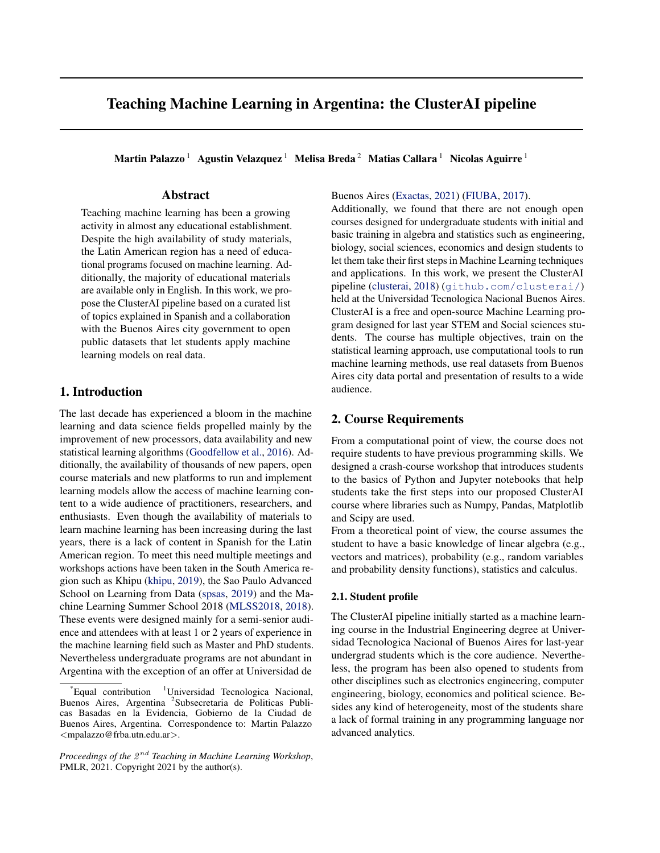# Teaching Machine Learning in Argentina: the ClusterAI pipeline

Martin Palazzo<sup>1</sup> Agustin Velazquez<sup>1</sup> Melisa Breda<sup>2</sup> Matias Callara<sup>1</sup> Nicolas Aguirre<sup>1</sup>

# Abstract

Teaching machine learning has been a growing activity in almost any educational establishment. Despite the high availability of study materials, the Latin American region has a need of educational programs focused on machine learning. Additionally, the majority of educational materials are available only in English. In this work, we propose the ClusterAI pipeline based on a curated list of topics explained in Spanish and a collaboration with the Buenos Aires city government to open public datasets that let students apply machine learning models on real data.

# 1. Introduction

The last decade has experienced a bloom in the machine learning and data science fields propelled mainly by the improvement of new processors, data availability and new statistical learning algorithms [\(Goodfellow et al.,](#page-4-0) [2016\)](#page-4-0). Additionally, the availability of thousands of new papers, open course materials and new platforms to run and implement learning models allow the access of machine learning content to a wide audience of practitioners, researchers, and enthusiasts. Even though the availability of materials to learn machine learning has been increasing during the last years, there is a lack of content in Spanish for the Latin American region. To meet this need multiple meetings and workshops actions have been taken in the South America region such as Khipu [\(khipu,](#page-4-0) [2019\)](#page-4-0), the Sao Paulo Advanced School on Learning from Data [\(spsas,](#page-4-0) [2019\)](#page-4-0) and the Machine Learning Summer School 2018 [\(MLSS2018,](#page-4-0) [2018\)](#page-4-0). These events were designed mainly for a semi-senior audience and attendees with at least 1 or 2 years of experience in the machine learning field such as Master and PhD students. Nevertheless undergraduate programs are not abundant in Argentina with the exception of an offer at Universidad de

Buenos Aires [\(Exactas,](#page-4-0) [2021\)](#page-4-0) [\(FIUBA,](#page-4-0) [2017\)](#page-4-0).

Additionally, we found that there are not enough open courses designed for undergraduate students with initial and basic training in algebra and statistics such as engineering, biology, social sciences, economics and design students to let them take their first steps in Machine Learning techniques and applications. In this work, we present the ClusterAI pipeline [\(clusterai,](#page-4-0) [2018\)](#page-4-0) (<github.com/clusterai/>) held at the Universidad Tecnologica Nacional Buenos Aires. ClusterAI is a free and open-source Machine Learning program designed for last year STEM and Social sciences students. The course has multiple objectives, train on the statistical learning approach, use computational tools to run machine learning methods, use real datasets from Buenos Aires city data portal and presentation of results to a wide audience.

# 2. Course Requirements

From a computational point of view, the course does not require students to have previous programming skills. We designed a crash-course workshop that introduces students to the basics of Python and Jupyter notebooks that help students take the first steps into our proposed ClusterAI course where libraries such as Numpy, Pandas, Matplotlib and Scipy are used.

From a theoretical point of view, the course assumes the student to have a basic knowledge of linear algebra (e.g., vectors and matrices), probability (e.g., random variables and probability density functions), statistics and calculus.

#### 2.1. Student profile

The ClusterAI pipeline initially started as a machine learning course in the Industrial Engineering degree at Universidad Tecnologica Nacional of Buenos Aires for last-year undergrad students which is the core audience. Nevertheless, the program has been also opened to students from other disciplines such as electronics engineering, computer engineering, biology, economics and political science. Besides any kind of heterogeneity, most of the students share a lack of formal training in any programming language nor advanced analytics.

Equal contribution  $1$ Universidad Tecnologica Nacional, Buenos Aires, Argentina <sup>2</sup>Subsecretaria de Politicas Publicas Basadas en la Evidencia, Gobierno de la Ciudad de Buenos Aires, Argentina. Correspondence to: Martin Palazzo <mpalazzo@frba.utn.edu.ar>.

Proceedings of the  $2^{nd}$  Teaching in Machine Learning Workshop, PMLR, 2021. Copyright 2021 by the author(s).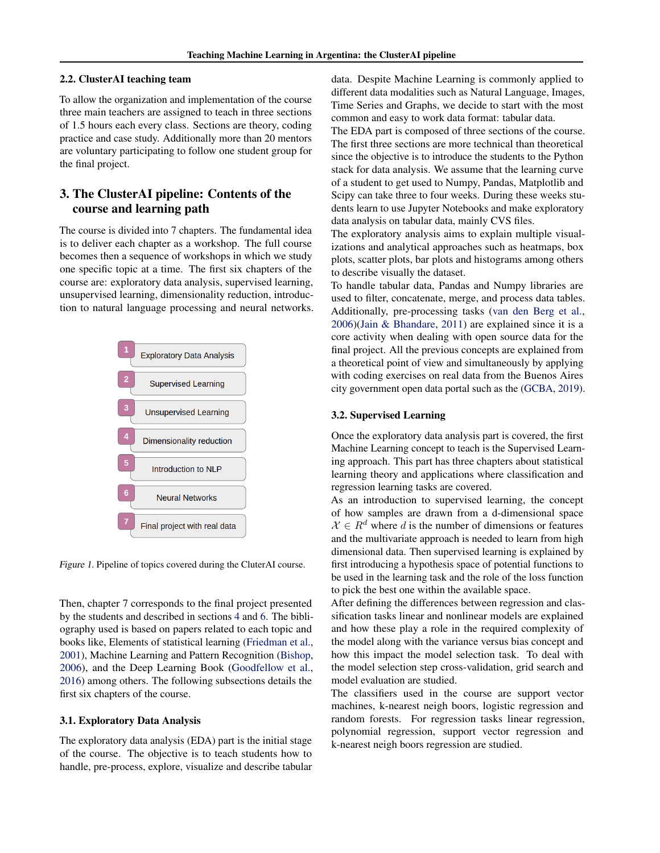#### 2.2. ClusterAI teaching team

To allow the organization and implementation of the course three main teachers are assigned to teach in three sections of 1.5 hours each every class. Sections are theory, coding practice and case study. Additionally more than 20 mentors are voluntary participating to follow one student group for the final project.

# 3. The ClusterAI pipeline: Contents of the course and learning path

The course is divided into 7 chapters. The fundamental idea is to deliver each chapter as a workshop. The full course becomes then a sequence of workshops in which we study one specific topic at a time. The first six chapters of the course are: exploratory data analysis, supervised learning, unsupervised learning, dimensionality reduction, introduction to natural language processing and neural networks.



Figure 1. Pipeline of topics covered during the CluterAI course.

Then, chapter 7 corresponds to the final project presented by the students and described in sections [4](#page-2-0) and [6.](#page-3-0) The bibliography used is based on papers related to each topic and books like, Elements of statistical learning [\(Friedman et al.,](#page-4-0) [2001\)](#page-4-0), Machine Learning and Pattern Recognition [\(Bishop,](#page-4-0) [2006\)](#page-4-0), and the Deep Learning Book [\(Goodfellow et al.,](#page-4-0) [2016\)](#page-4-0) among others. The following subsections details the first six chapters of the course.

#### 3.1. Exploratory Data Analysis

The exploratory data analysis (EDA) part is the initial stage of the course. The objective is to teach students how to handle, pre-process, explore, visualize and describe tabular data. Despite Machine Learning is commonly applied to different data modalities such as Natural Language, Images, Time Series and Graphs, we decide to start with the most common and easy to work data format: tabular data.

The EDA part is composed of three sections of the course. The first three sections are more technical than theoretical since the objective is to introduce the students to the Python stack for data analysis. We assume that the learning curve of a student to get used to Numpy, Pandas, Matplotlib and Scipy can take three to four weeks. During these weeks students learn to use Jupyter Notebooks and make exploratory data analysis on tabular data, mainly CVS files.

The exploratory analysis aims to explain multiple visualizations and analytical approaches such as heatmaps, box plots, scatter plots, bar plots and histograms among others to describe visually the dataset.

To handle tabular data, Pandas and Numpy libraries are used to filter, concatenate, merge, and process data tables. Additionally, pre-processing tasks [\(van den Berg et al.,](#page-4-0) [2006\)\(Jain & Bhandare,](#page-4-0) [2011\)](#page-4-0) are explained since it is a core activity when dealing with open source data for the final project. All the previous concepts are explained from a theoretical point of view and simultaneously by applying with coding exercises on real data from the Buenos Aires city government open data portal such as the [\(GCBA,](#page-4-0) [2019\)](#page-4-0).

#### 3.2. Supervised Learning

Once the exploratory data analysis part is covered, the first Machine Learning concept to teach is the Supervised Learning approach. This part has three chapters about statistical learning theory and applications where classification and regression learning tasks are covered.

As an introduction to supervised learning, the concept of how samples are drawn from a d-dimensional space  $\mathcal{X} \in \mathbb{R}^d$  where d is the number of dimensions or features and the multivariate approach is needed to learn from high dimensional data. Then supervised learning is explained by first introducing a hypothesis space of potential functions to be used in the learning task and the role of the loss function to pick the best one within the available space.

After defining the differences between regression and classification tasks linear and nonlinear models are explained and how these play a role in the required complexity of the model along with the variance versus bias concept and how this impact the model selection task. To deal with the model selection step cross-validation, grid search and model evaluation are studied.

The classifiers used in the course are support vector machines, k-nearest neigh boors, logistic regression and random forests. For regression tasks linear regression, polynomial regression, support vector regression and k-nearest neigh boors regression are studied.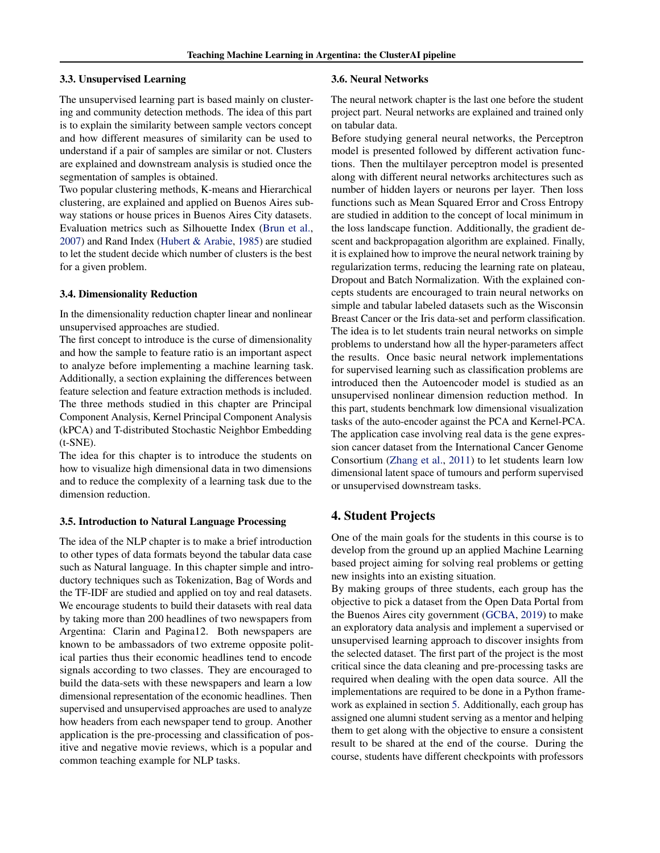#### <span id="page-2-0"></span>3.3. Unsupervised Learning

The unsupervised learning part is based mainly on clustering and community detection methods. The idea of this part is to explain the similarity between sample vectors concept and how different measures of similarity can be used to understand if a pair of samples are similar or not. Clusters are explained and downstream analysis is studied once the segmentation of samples is obtained.

Two popular clustering methods, K-means and Hierarchical clustering, are explained and applied on Buenos Aires subway stations or house prices in Buenos Aires City datasets. Evaluation metrics such as Silhouette Index [\(Brun et al.,](#page-4-0) [2007\)](#page-4-0) and Rand Index [\(Hubert & Arabie,](#page-4-0) [1985\)](#page-4-0) are studied to let the student decide which number of clusters is the best for a given problem.

#### 3.4. Dimensionality Reduction

In the dimensionality reduction chapter linear and nonlinear unsupervised approaches are studied.

The first concept to introduce is the curse of dimensionality and how the sample to feature ratio is an important aspect to analyze before implementing a machine learning task. Additionally, a section explaining the differences between feature selection and feature extraction methods is included. The three methods studied in this chapter are Principal Component Analysis, Kernel Principal Component Analysis (kPCA) and T-distributed Stochastic Neighbor Embedding (t-SNE).

The idea for this chapter is to introduce the students on how to visualize high dimensional data in two dimensions and to reduce the complexity of a learning task due to the dimension reduction.

#### 3.5. Introduction to Natural Language Processing

The idea of the NLP chapter is to make a brief introduction to other types of data formats beyond the tabular data case such as Natural language. In this chapter simple and introductory techniques such as Tokenization, Bag of Words and the TF-IDF are studied and applied on toy and real datasets. We encourage students to build their datasets with real data by taking more than 200 headlines of two newspapers from Argentina: Clarin and Pagina12. Both newspapers are known to be ambassadors of two extreme opposite political parties thus their economic headlines tend to encode signals according to two classes. They are encouraged to build the data-sets with these newspapers and learn a low dimensional representation of the economic headlines. Then supervised and unsupervised approaches are used to analyze how headers from each newspaper tend to group. Another application is the pre-processing and classification of positive and negative movie reviews, which is a popular and common teaching example for NLP tasks.

#### 3.6. Neural Networks

The neural network chapter is the last one before the student project part. Neural networks are explained and trained only on tabular data.

Before studying general neural networks, the Perceptron model is presented followed by different activation functions. Then the multilayer perceptron model is presented along with different neural networks architectures such as number of hidden layers or neurons per layer. Then loss functions such as Mean Squared Error and Cross Entropy are studied in addition to the concept of local minimum in the loss landscape function. Additionally, the gradient descent and backpropagation algorithm are explained. Finally, it is explained how to improve the neural network training by regularization terms, reducing the learning rate on plateau, Dropout and Batch Normalization. With the explained concepts students are encouraged to train neural networks on simple and tabular labeled datasets such as the Wisconsin Breast Cancer or the Iris data-set and perform classification. The idea is to let students train neural networks on simple problems to understand how all the hyper-parameters affect the results. Once basic neural network implementations for supervised learning such as classification problems are introduced then the Autoencoder model is studied as an unsupervised nonlinear dimension reduction method. In this part, students benchmark low dimensional visualization tasks of the auto-encoder against the PCA and Kernel-PCA. The application case involving real data is the gene expression cancer dataset from the International Cancer Genome Consortium [\(Zhang et al.,](#page-4-0) [2011\)](#page-4-0) to let students learn low dimensional latent space of tumours and perform supervised or unsupervised downstream tasks.

# 4. Student Projects

One of the main goals for the students in this course is to develop from the ground up an applied Machine Learning based project aiming for solving real problems or getting new insights into an existing situation.

By making groups of three students, each group has the objective to pick a dataset from the Open Data Portal from the Buenos Aires city government [\(GCBA,](#page-4-0) [2019\)](#page-4-0) to make an exploratory data analysis and implement a supervised or unsupervised learning approach to discover insights from the selected dataset. The first part of the project is the most critical since the data cleaning and pre-processing tasks are required when dealing with the open data source. All the implementations are required to be done in a Python framework as explained in section [5.](#page-3-0) Additionally, each group has assigned one alumni student serving as a mentor and helping them to get along with the objective to ensure a consistent result to be shared at the end of the course. During the course, students have different checkpoints with professors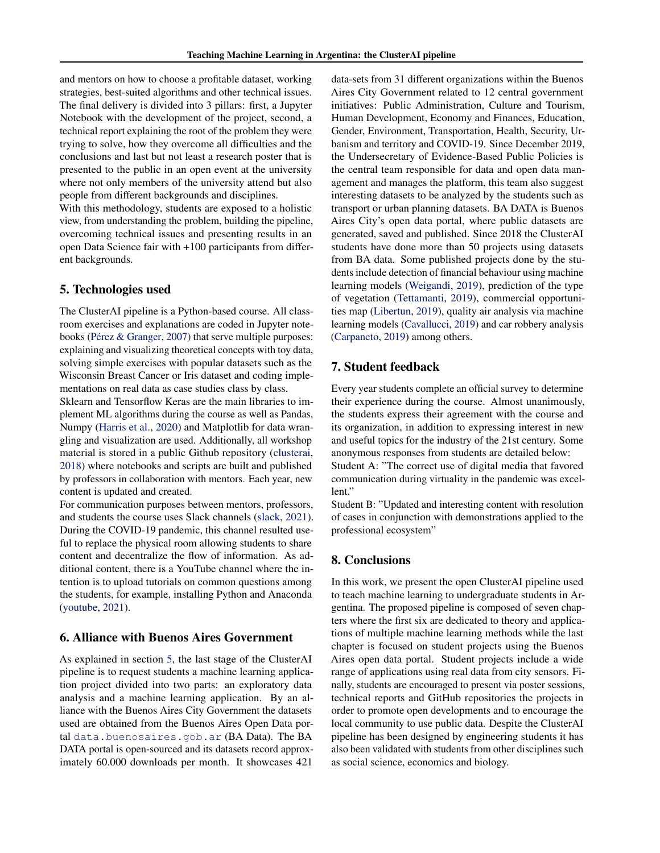<span id="page-3-0"></span>and mentors on how to choose a profitable dataset, working strategies, best-suited algorithms and other technical issues. The final delivery is divided into 3 pillars: first, a Jupyter Notebook with the development of the project, second, a technical report explaining the root of the problem they were trying to solve, how they overcome all difficulties and the conclusions and last but not least a research poster that is presented to the public in an open event at the university where not only members of the university attend but also people from different backgrounds and disciplines.

With this methodology, students are exposed to a holistic view, from understanding the problem, building the pipeline, overcoming technical issues and presenting results in an open Data Science fair with +100 participants from different backgrounds.

# 5. Technologies used

The ClusterAI pipeline is a Python-based course. All classroom exercises and explanations are coded in Jupyter note-books (Pérez & Granger, [2007\)](#page-4-0) that serve multiple purposes: explaining and visualizing theoretical concepts with toy data, solving simple exercises with popular datasets such as the Wisconsin Breast Cancer or Iris dataset and coding implementations on real data as case studies class by class.

Sklearn and Tensorflow Keras are the main libraries to implement ML algorithms during the course as well as Pandas, Numpy [\(Harris et al.,](#page-4-0) [2020\)](#page-4-0) and Matplotlib for data wrangling and visualization are used. Additionally, all workshop material is stored in a public Github repository [\(clusterai,](#page-4-0) [2018\)](#page-4-0) where notebooks and scripts are built and published by professors in collaboration with mentors. Each year, new content is updated and created.

For communication purposes between mentors, professors, and students the course uses Slack channels [\(slack,](#page-4-0) [2021\)](#page-4-0). During the COVID-19 pandemic, this channel resulted useful to replace the physical room allowing students to share content and decentralize the flow of information. As additional content, there is a YouTube channel where the intention is to upload tutorials on common questions among the students, for example, installing Python and Anaconda [\(youtube,](#page-4-0) [2021\)](#page-4-0).

# 6. Alliance with Buenos Aires Government

As explained in section 5, the last stage of the ClusterAI pipeline is to request students a machine learning application project divided into two parts: an exploratory data analysis and a machine learning application. By an alliance with the Buenos Aires City Government the datasets used are obtained from the Buenos Aires Open Data portal <data.buenosaires.gob.ar> (BA Data). The BA DATA portal is open-sourced and its datasets record approximately 60.000 downloads per month. It showcases 421

data-sets from 31 different organizations within the Buenos Aires City Government related to 12 central government initiatives: Public Administration, Culture and Tourism, Human Development, Economy and Finances, Education, Gender, Environment, Transportation, Health, Security, Urbanism and territory and COVID-19. Since December 2019, the Undersecretary of Evidence-Based Public Policies is the central team responsible for data and open data management and manages the platform, this team also suggest interesting datasets to be analyzed by the students such as transport or urban planning datasets. BA DATA is Buenos Aires City's open data portal, where public datasets are generated, saved and published. Since 2018 the ClusterAI students have done more than 50 projects using datasets from BA data. Some published projects done by the students include detection of financial behaviour using machine learning models [\(Weigandi,](#page-4-0) [2019\)](#page-4-0), prediction of the type of vegetation [\(Tettamanti,](#page-4-0) [2019\)](#page-4-0), commercial opportunities map [\(Libertun,](#page-4-0) [2019\)](#page-4-0), quality air analysis via machine learning models [\(Cavallucci,](#page-4-0) [2019\)](#page-4-0) and car robbery analysis [\(Carpaneto,](#page-4-0) [2019\)](#page-4-0) among others.

# 7. Student feedback

Every year students complete an official survey to determine their experience during the course. Almost unanimously, the students express their agreement with the course and its organization, in addition to expressing interest in new and useful topics for the industry of the 21st century. Some anonymous responses from students are detailed below:

Student A: "The correct use of digital media that favored communication during virtuality in the pandemic was excellent."

Student B: "Updated and interesting content with resolution of cases in conjunction with demonstrations applied to the professional ecosystem"

### 8. Conclusions

In this work, we present the open ClusterAI pipeline used to teach machine learning to undergraduate students in Argentina. The proposed pipeline is composed of seven chapters where the first six are dedicated to theory and applications of multiple machine learning methods while the last chapter is focused on student projects using the Buenos Aires open data portal. Student projects include a wide range of applications using real data from city sensors. Finally, students are encouraged to present via poster sessions, technical reports and GitHub repositories the projects in order to promote open developments and to encourage the local community to use public data. Despite the ClusterAI pipeline has been designed by engineering students it has also been validated with students from other disciplines such as social science, economics and biology.